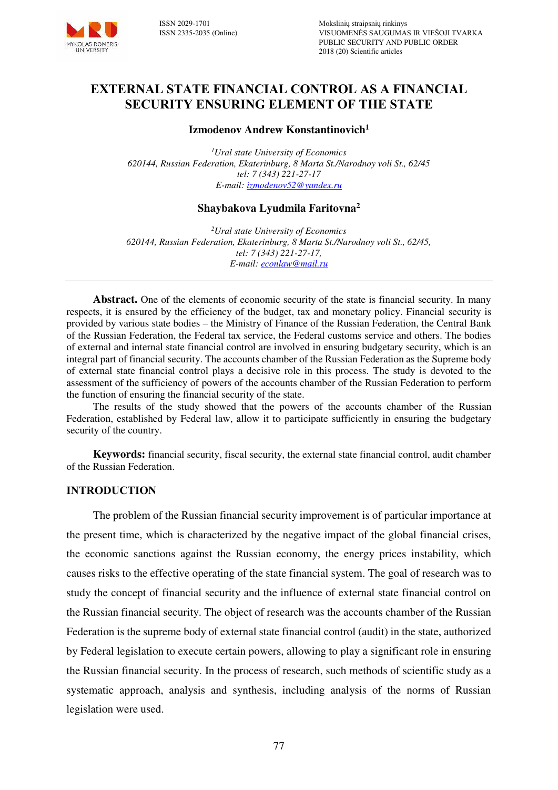

# **EXTERNAL STATE FINANCIAL CONTROL AS A FINANCIAL SECURITY ENSURING ELEMENT OF THE STATE**

#### **Izmodenov Andrew Konstantinovich<sup>1</sup>**

*<sup>1</sup>Ural state University of Economics 620144, Russian Federation, Ekaterinburg, 8 Marta St./Narodnoy voli St., 62/45 tel: 7 (343) 221-27-17 E-mail: [izmodenov52@yandex.ru](mailto:izmodenov52@yandex.ru)* 

### **Shaybakova Lyudmila Faritovna<sup>2</sup>**

*<sup>2</sup>Ural state University of Economics 620144, Russian Federation, Ekaterinburg, 8 Marta St./Narodnoy voli St., 62/45, tel: 7 (343) 221-27-17, E-mail: [econlaw@mail.ru](mailto:econlaw@mail.ru)* 

**Abstract.** One of the elements of economic security of the state is financial security. In many respects, it is ensured by the efficiency of the budget, tax and monetary policy. Financial security is provided by various state bodies – the Ministry of Finance of the Russian Federation, the Central Bank of the Russian Federation, the Federal tax service, the Federal customs service and others. The bodies of external and internal state financial control are involved in ensuring budgetary security, which is an integral part of financial security. The accounts chamber of the Russian Federation as the Supreme body of external state financial control plays a decisive role in this process. The study is devoted to the assessment of the sufficiency of powers of the accounts chamber of the Russian Federation to perform the function of ensuring the financial security of the state.

The results of the study showed that the powers of the accounts chamber of the Russian Federation, established by Federal law, allow it to participate sufficiently in ensuring the budgetary security of the country.

**Keywords:** financial security, fiscal security, the external state financial control, audit chamber of the Russian Federation.

#### **INTRODUCTION**

The problem of the Russian financial security improvement is of particular importance at the present time, which is characterized by the negative impact of the global financial crises, the economic sanctions against the Russian economy, the energy prices instability, which causes risks to the effective operating of the state financial system. The goal of research was to study the concept of financial security and the influence of external state financial control on the Russian financial security. The object of research was the accounts chamber of the Russian Federation is the supreme body of external state financial control (audit) in the state, authorized by Federal legislation to execute certain powers, allowing to play a significant role in ensuring the Russian financial security. In the process of research, such methods of scientific study as a systematic approach, analysis and synthesis, including analysis of the norms of Russian legislation were used.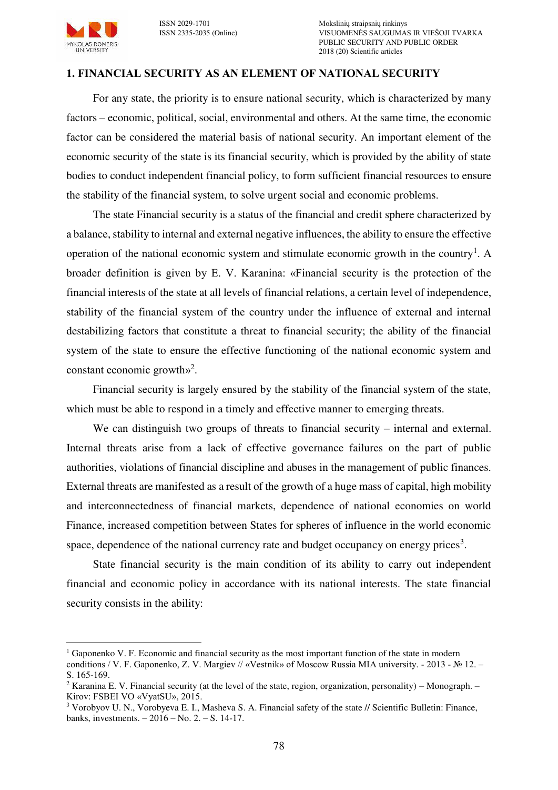

 $\overline{a}$ 

#### **1. FINANCIAL SECURITY AS AN ELEMENT OF NATIONAL SECURITY**

For any state, the priority is to ensure national security, which is characterized by many factors – economic, political, social, environmental and others. At the same time, the economic factor can be considered the material basis of national security. An important element of the economic security of the state is its financial security, which is provided by the ability of state bodies to conduct independent financial policy, to form sufficient financial resources to ensure the stability of the financial system, to solve urgent social and economic problems.

The state Financial security is a status of the financial and credit sphere characterized by a balance, stability to internal and external negative influences, the ability to ensure the effective operation of the national economic system and stimulate economic growth in the country<sup>1</sup>. A broader definition is given by E. V. Karanina: «Financial security is the protection of the financial interests of the state at all levels of financial relations, a certain level of independence, stability of the financial system of the country under the influence of external and internal destabilizing factors that constitute a threat to financial security; the ability of the financial system of the state to ensure the effective functioning of the national economic system and constant economic growth»<sup>2</sup>.

Financial security is largely ensured by the stability of the financial system of the state, which must be able to respond in a timely and effective manner to emerging threats.

We can distinguish two groups of threats to financial security – internal and external. Internal threats arise from a lack of effective governance failures on the part of public authorities, violations of financial discipline and abuses in the management of public finances. External threats are manifested as a result of the growth of a huge mass of capital, high mobility and interconnectedness of financial markets, dependence of national economies on world Finance, increased competition between States for spheres of influence in the world economic space, dependence of the national currency rate and budget occupancy on energy prices<sup>3</sup>.

State financial security is the main condition of its ability to carry out independent financial and economic policy in accordance with its national interests. The state financial security consists in the ability:

<sup>&</sup>lt;sup>1</sup> Gaponenko V. F. Economic and financial security as the most important function of the state in modern conditions / V. F. Gaponenko, Z. V. Margiev // «Vestnik» of Moscow Russia MIA university. - 2013 - № 12. – S. 165-169.

<sup>&</sup>lt;sup>2</sup> Karanina E. V. Financial security (at the level of the state, region, organization, personality) – Monograph. – Kirov: FSBEI VO «VyatSU», 2015.

<sup>&</sup>lt;sup>3</sup> Vorobyov U. N., Vorobyeva E. I., Masheva S. A. Financial safety of the state // Scientific Bulletin: Finance, banks, investments. – 2016 – No. 2. – S. 14-17.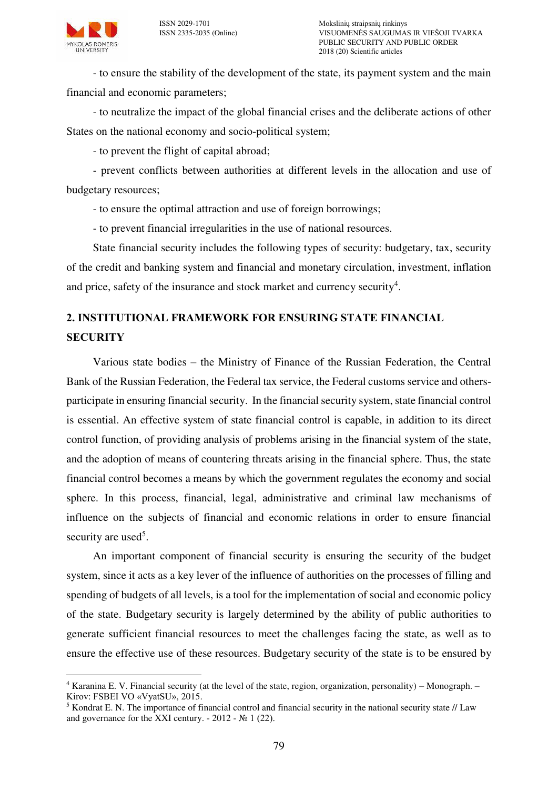- to ensure the stability of the development of the state, its payment system and the main financial and economic parameters;

- to neutralize the impact of the global financial crises and the deliberate actions of other States on the national economy and socio-political system;

- to prevent the flight of capital abroad;

- prevent conflicts between authorities at different levels in the allocation and use of budgetary resources;

- to ensure the optimal attraction and use of foreign borrowings;

- to prevent financial irregularities in the use of national resources.

State financial security includes the following types of security: budgetary, tax, security of the credit and banking system and financial and monetary circulation, investment, inflation and price, safety of the insurance and stock market and currency security<sup>4</sup>.

# **2. INSTITUTIONAL FRAMEWORK FOR ENSURING STATE FINANCIAL SECURITY**

Various state bodies – the Ministry of Finance of the Russian Federation, the Central Bank of the Russian Federation, the Federal tax service, the Federal customs service and othersparticipate in ensuring financial security. In the financial security system, state financial control is essential. An effective system of state financial control is capable, in addition to its direct control function, of providing analysis of problems arising in the financial system of the state, and the adoption of means of countering threats arising in the financial sphere. Thus, the state financial control becomes a means by which the government regulates the economy and social sphere. In this process, financial, legal, administrative and criminal law mechanisms of influence on the subjects of financial and economic relations in order to ensure financial security are used<sup>5</sup>.

An important component of financial security is ensuring the security of the budget system, since it acts as a key lever of the influence of authorities on the processes of filling and spending of budgets of all levels, is a tool for the implementation of social and economic policy of the state. Budgetary security is largely determined by the ability of public authorities to generate sufficient financial resources to meet the challenges facing the state, as well as to ensure the effective use of these resources. Budgetary security of the state is to be ensured by

 4 Karanina E. V. Financial security (at the level of the state, region, organization, personality) – Monograph. – Kirov: FSBEI VO «VyatSU», 2015.

<sup>&</sup>lt;sup>5</sup> Kondrat E. N. The importance of financial control and financial security in the national security state // Law and governance for the XXI century.  $-2012 - N<sub>2</sub> 1$  (22).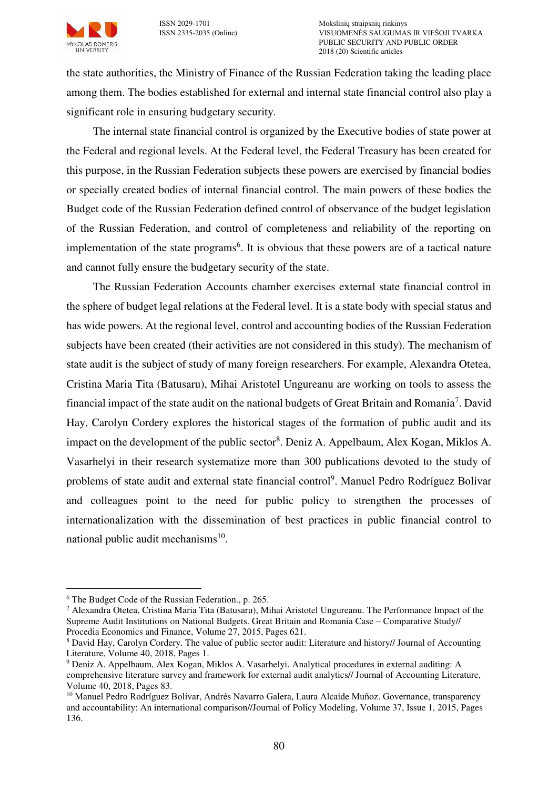

the state authorities, the Ministry of Finance of the Russian Federation taking the leading place among them. The bodies established for external and internal state financial control also play a significant role in ensuring budgetary security.

The internal state financial control is organized by the Executive bodies of state power at the Federal and regional levels. At the Federal level, the Federal Treasury has been created for this purpose, in the Russian Federation subjects these powers are exercised by financial bodies or specially created bodies of internal financial control. The main powers of these bodies the Budget code of the Russian Federation defined control of observance of the budget legislation of the Russian Federation, and control of completeness and reliability of the reporting on implementation of the state programs<sup>6</sup>. It is obvious that these powers are of a tactical nature and cannot fully ensure the budgetary security of the state.

The Russian Federation Accounts chamber exercises external state financial control in the sphere of budget legal relations at the Federal level. It is a state body with special status and has wide powers. At the regional level, control and accounting bodies of the Russian Federation subjects have been created (their activities are not considered in this study). The mechanism of state audit is the subject of study of many foreign researchers. For example, Alexandra Otetea, Cristina Maria Tita (Batusaru), Mihai Aristotel Ungureanu are working on tools to assess the financial impact of the state audit on the national budgets of Great Britain and Romania<sup>7</sup>. David Hay, Carolyn Cordery explores the historical stages of the formation of public audit and its impact on the development of the public sector<sup>8</sup>. Deniz A. Appelbaum, Alex Kogan, Miklos A. Vasarhelyi in their research systematize more than 300 publications devoted to the study of problems of state audit and external state financial control<sup>9</sup>. Manuel Pedro Rodríguez Bolívar and colleagues point to the need for public policy to strengthen the processes of internationalization with the dissemination of best practices in public financial control to national public audit mechanisms<sup>10</sup>.

 $\overline{a}$ 

<sup>6</sup> The Budget Code of the Russian Federation., p. 265.

<sup>&</sup>lt;sup>7</sup> Alexandra Otetea, Cristina Maria Tita (Batusaru), Mihai Aristotel Ungureanu. The Performance Impact of the Supreme Audit Institutions on National Budgets. Great Britain and Romania Case – Comparative Study// Procedia Economics and Finance, Volume 27, 2015, Pages 621.

<sup>&</sup>lt;sup>8</sup> David Hay, Carolyn Cordery. The value of public sector audit: Literature and history// Journal of Accounting Literature, Volume 40, 2018, Pages 1.

<sup>9</sup> Deniz A. Appelbaum, Alex Kogan, Miklos A. Vasarhelyi. Analytical procedures in external auditing: A comprehensive literature survey and framework for external audit analytics// Journal of Accounting Literature, Volume 40, 2018, Pages 83.

<sup>&</sup>lt;sup>10</sup> Manuel Pedro Rodríguez Bolívar, Andrés Navarro Galera, Laura Alcaide Muñoz. Governance, transparency and accountability: An international comparison//Journal of Policy Modeling, Volume 37, Issue 1, 2015, Pages 136.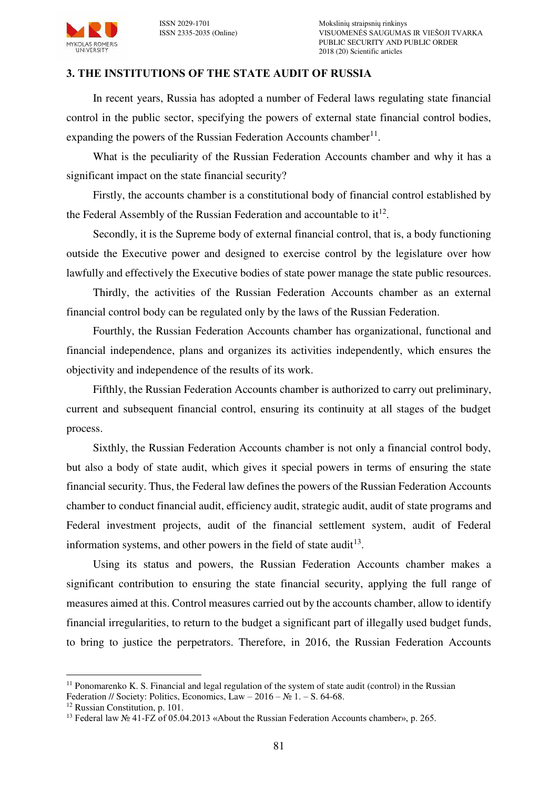

### **3. THE INSTITUTIONS OF THE STATE AUDIT OF RUSSIA**

In recent years, Russia has adopted a number of Federal laws regulating state financial control in the public sector, specifying the powers of external state financial control bodies, expanding the powers of the Russian Federation Accounts chamber<sup>11</sup>.

What is the peculiarity of the Russian Federation Accounts chamber and why it has a significant impact on the state financial security?

Firstly, the accounts chamber is a constitutional body of financial control established by the Federal Assembly of the Russian Federation and accountable to  $it^{12}$ .

Secondly, it is the Supreme body of external financial control, that is, a body functioning outside the Executive power and designed to exercise control by the legislature over how lawfully and effectively the Executive bodies of state power manage the state public resources.

Thirdly, the activities of the Russian Federation Accounts chamber as an external financial control body can be regulated only by the laws of the Russian Federation.

Fourthly, the Russian Federation Accounts chamber has organizational, functional and financial independence, plans and organizes its activities independently, which ensures the objectivity and independence of the results of its work.

Fifthly, the Russian Federation Accounts chamber is authorized to carry out preliminary, current and subsequent financial control, ensuring its continuity at all stages of the budget process.

Sixthly, the Russian Federation Accounts chamber is not only a financial control body, but also a body of state audit, which gives it special powers in terms of ensuring the state financial security. Thus, the Federal law defines the powers of the Russian Federation Accounts chamber to conduct financial audit, efficiency audit, strategic audit, audit of state programs and Federal investment projects, audit of the financial settlement system, audit of Federal information systems, and other powers in the field of state audit<sup>13</sup>.

Using its status and powers, the Russian Federation Accounts chamber makes a significant contribution to ensuring the state financial security, applying the full range of measures aimed at this. Control measures carried out by the accounts chamber, allow to identify financial irregularities, to return to the budget a significant part of illegally used budget funds, to bring to justice the perpetrators. Therefore, in 2016, the Russian Federation Accounts

 $\overline{a}$ <sup>11</sup> Ponomarenko K. S. Financial and legal regulation of the system of state audit (control) in the Russian Federation // Society: Politics, Economics, Law – 2016 –  $N_2$  1. – S. 64-68.

<sup>12</sup> Russian Constitution, p. 101.

<sup>13</sup> Federal law № 41-FZ of 05.04.2013 «About the Russian Federation Accounts chamber», p. 265.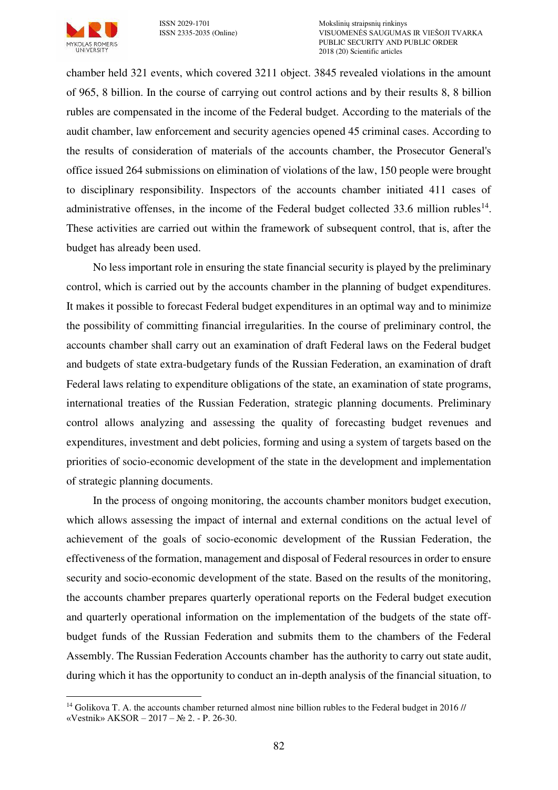

ISSN 2029-1701 Mokslinių straipsnių rinkinys VISUOMENĖS SAUGUMAS IR VIEŠOJI TVARKA PUBLIC SECURITY AND PUBLIC ORDER 2018 (20) Scientific articles

chamber held 321 events, which covered 3211 object. 3845 revealed violations in the amount of 965, 8 billion. In the course of carrying out control actions and by their results 8, 8 billion rubles are compensated in the income of the Federal budget. According to the materials of the audit chamber, law enforcement and security agencies opened 45 criminal cases. According to the results of consideration of materials of the accounts chamber, the Prosecutor General's office issued 264 submissions on elimination of violations of the law, 150 people were brought to disciplinary responsibility. Inspectors of the accounts chamber initiated 411 cases of administrative offenses, in the income of the Federal budget collected  $33.6$  million rubles<sup>14</sup>. These activities are carried out within the framework of subsequent control, that is, after the budget has already been used.

No less important role in ensuring the state financial security is played by the preliminary control, which is carried out by the accounts chamber in the planning of budget expenditures. It makes it possible to forecast Federal budget expenditures in an optimal way and to minimize the possibility of committing financial irregularities. In the course of preliminary control, the accounts chamber shall carry out an examination of draft Federal laws on the Federal budget and budgets of state extra-budgetary funds of the Russian Federation, an examination of draft Federal laws relating to expenditure obligations of the state, an examination of state programs, international treaties of the Russian Federation, strategic planning documents. Preliminary control allows analyzing and assessing the quality of forecasting budget revenues and expenditures, investment and debt policies, forming and using a system of targets based on the priorities of socio-economic development of the state in the development and implementation of strategic planning documents.

In the process of ongoing monitoring, the accounts chamber monitors budget execution, which allows assessing the impact of internal and external conditions on the actual level of achievement of the goals of socio-economic development of the Russian Federation, the effectiveness of the formation, management and disposal of Federal resources in order to ensure security and socio-economic development of the state. Based on the results of the monitoring, the accounts chamber prepares quarterly operational reports on the Federal budget execution and quarterly operational information on the implementation of the budgets of the state offbudget funds of the Russian Federation and submits them to the chambers of the Federal Assembly. The Russian Federation Accounts chamber has the authority to carry out state audit, during which it has the opportunity to conduct an in-depth analysis of the financial situation, to

 $\overline{a}$ <sup>14</sup> Golikova T. A. the accounts chamber returned almost nine billion rubles to the Federal budget in 2016 // «Vestnik» AKSOR – 2017 – № 2. - P. 26-30.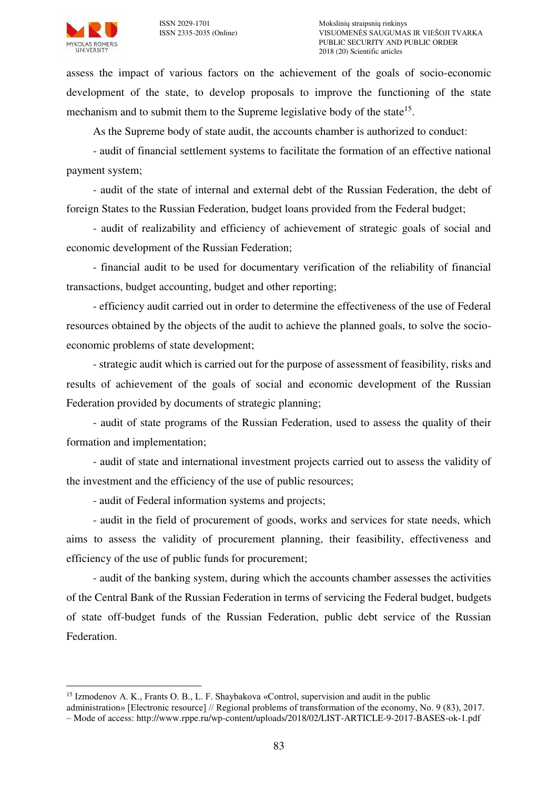assess the impact of various factors on the achievement of the goals of socio-economic development of the state, to develop proposals to improve the functioning of the state mechanism and to submit them to the Supreme legislative body of the state<sup>15</sup>.

As the Supreme body of state audit, the accounts chamber is authorized to conduct:

- audit of financial settlement systems to facilitate the formation of an effective national payment system;

- audit of the state of internal and external debt of the Russian Federation, the debt of foreign States to the Russian Federation, budget loans provided from the Federal budget;

- audit of realizability and efficiency of achievement of strategic goals of social and economic development of the Russian Federation;

- financial audit to be used for documentary verification of the reliability of financial transactions, budget accounting, budget and other reporting;

- efficiency audit carried out in order to determine the effectiveness of the use of Federal resources obtained by the objects of the audit to achieve the planned goals, to solve the socioeconomic problems of state development;

- strategic audit which is carried out for the purpose of assessment of feasibility, risks and results of achievement of the goals of social and economic development of the Russian Federation provided by documents of strategic planning;

- audit of state programs of the Russian Federation, used to assess the quality of their formation and implementation;

- audit of state and international investment projects carried out to assess the validity of the investment and the efficiency of the use of public resources;

- audit of Federal information systems and projects;

- audit in the field of procurement of goods, works and services for state needs, which aims to assess the validity of procurement planning, their feasibility, effectiveness and efficiency of the use of public funds for procurement;

- audit of the banking system, during which the accounts chamber assesses the activities of the Central Bank of the Russian Federation in terms of servicing the Federal budget, budgets of state off-budget funds of the Russian Federation, public debt service of the Russian Federation.

 $\overline{a}$ <sup>15</sup> Izmodenov A. K., Frants O. B., L. F. Shaybakova «Control, supervision and audit in the public

administration» [Electronic resource] // Regional problems of transformation of the economy, No. 9 (83), 2017.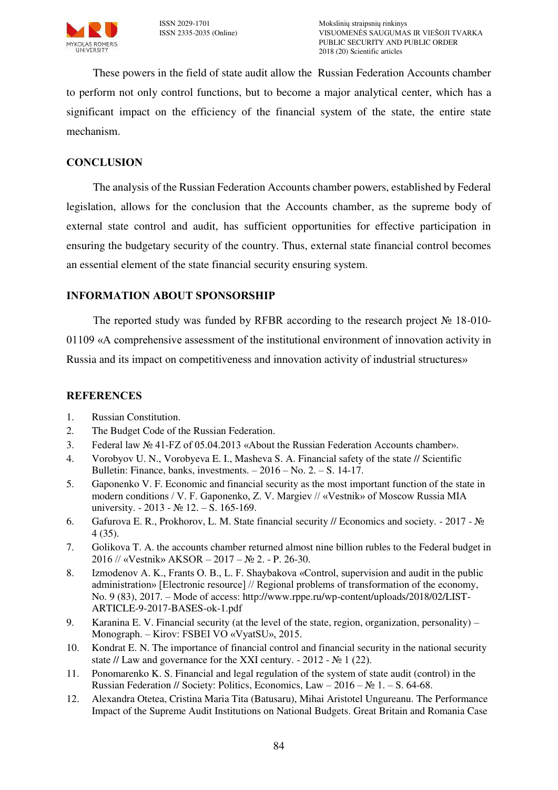

These powers in the field of state audit allow the Russian Federation Accounts chamber to perform not only control functions, but to become a major analytical center, which has a significant impact on the efficiency of the financial system of the state, the entire state mechanism.

# **CONCLUSION**

The analysis of the Russian Federation Accounts chamber powers, established by Federal legislation, allows for the conclusion that the Accounts chamber, as the supreme body of external state control and audit, has sufficient opportunities for effective participation in ensuring the budgetary security of the country. Thus, external state financial control becomes an essential element of the state financial security ensuring system.

## **INFORMATION ABOUT SPONSORSHIP**

The reported study was funded by RFBR according to the research project № 18-010- 01109 «A comprehensive assessment of the institutional environment of innovation activity in Russia and its impact on competitiveness and innovation activity of industrial structures»

## **REFERENCES**

- 1. Russian Constitution.
- 2. The Budget Code of the Russian Federation.
- 3. Federal law № 41-FZ of 05.04.2013 «About the Russian Federation Accounts chamber».
- 4. Vorobyov U. N., Vorobyeva E. I., Masheva S. A. Financial safety of the state // Scientific Bulletin: Finance, banks, investments. – 2016 – No. 2. – S. 14-17.
- 5. Gaponenko V. F. Economic and financial security as the most important function of the state in modern conditions / V. F. Gaponenko, Z. V. Margiev // «Vestnik» of Moscow Russia MIA university. - 2013 - № 12. – S. 165-169.
- 6. Gafurova E. R., Prokhorov, L. M. State financial security // Economics and society. 2017 № 4 (35).
- 7. Golikova T. A. the accounts chamber returned almost nine billion rubles to the Federal budget in 2016 // «Vestnik» AKSOR – 2017 – № 2. - P. 26-30.
- 8. Izmodenov A. K., Frants O. B., L. F. Shaybakova «Control, supervision and audit in the public administration» [Electronic resource] // Regional problems of transformation of the economy, No. 9 (83), 2017. – Mode of access: http://www.rppe.ru/wp-content/uploads/2018/02/LIST-ARTICLE-9-2017-BASES-ok-1.pdf
- 9. Karanina E. V. Financial security (at the level of the state, region, organization, personality) Monograph. – Kirov: FSBEI VO «VyatSU», 2015.
- 10. Kondrat E. N. The importance of financial control and financial security in the national security state // Law and governance for the XXI century.  $-2012 - N_2 1$  (22).
- 11. Ponomarenko K. S. Financial and legal regulation of the system of state audit (control) in the Russian Federation // Society: Politics, Economics, Law – 2016 –  $\mathbb{N}^2$  1. – S. 64-68.
- 12. Alexandra Otetea, Cristina Maria Tita (Batusaru), Mihai Aristotel Ungureanu. The Performance Impact of the Supreme Audit Institutions on National Budgets. Great Britain and Romania Case